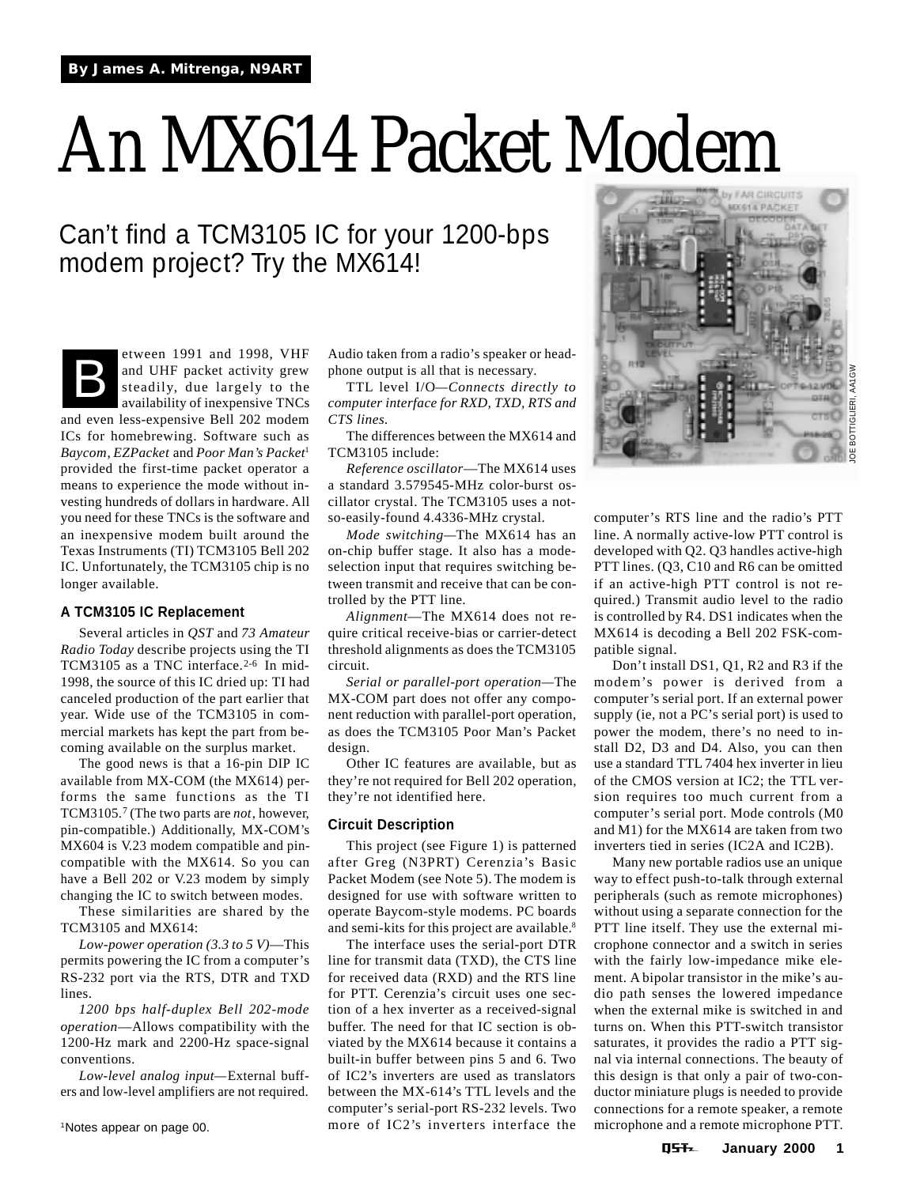# An MX614 Packet Modem

# Can't find a TCM3105 IC for your 1200-bps modem project? Try the MX614!

Etween 1991 and 1998, VHF<br>and UHF packet activity grew<br>steadily, due largely to the<br>availability of inexpensive TNCs and UHF packet activity grew steadily, due largely to the availability of inexpensive TNCs

and even less-expensive Bell 202 modem ICs for homebrewing. Software such as *Baycom*, *EZPacket* and *Poor Man's Packet*<sup>1</sup> provided the first-time packet operator a means to experience the mode without investing hundreds of dollars in hardware. All you need for these TNCs is the software and an inexpensive modem built around the Texas Instruments (TI) TCM3105 Bell 202 IC. Unfortunately, the TCM3105 chip is no longer available.

### **A TCM3105 IC Replacement**

Several articles in *QST* and *73 Amateur Radio Today* describe projects using the TI TCM3105 as a TNC interface.<sup>2-6</sup> In mid-1998, the source of this IC dried up: TI had canceled production of the part earlier that year. Wide use of the TCM3105 in commercial markets has kept the part from becoming available on the surplus market.

The good news is that a 16-pin DIP IC available from MX-COM (the MX614) performs the same functions as the TI TCM3105.7 (The two parts are *not*, however, pin-compatible.) Additionally, MX-COM's MX604 is V.23 modem compatible and pincompatible with the MX614. So you can have a Bell 202 or V.23 modem by simply changing the IC to switch between modes.

These similarities are shared by the TCM3105 and MX614:

*Low-power operation (3.3 to 5 V)*—This permits powering the IC from a computer's RS-232 port via the RTS, DTR and TXD lines.

*1200 bps half-duplex Bell 202-mode operation*—Allows compatibility with the 1200-Hz mark and 2200-Hz space-signal conventions.

*Low-level analog input—*External buffers and low-level amplifiers are not required. Audio taken from a radio's speaker or headphone output is all that is necessary.

TTL level I/O*—Connects directly to computer interface for RXD, TXD, RTS and CTS lines.*

The differences between the MX614 and TCM3105 include:

*Reference oscillator*—The MX614 uses a standard 3.579545-MHz color-burst oscillator crystal. The TCM3105 uses a notso-easily-found 4.4336-MHz crystal.

*Mode switching—*The MX614 has an on-chip buffer stage. It also has a modeselection input that requires switching between transmit and receive that can be controlled by the PTT line.

*Alignment*—The MX614 does not require critical receive-bias or carrier-detect threshold alignments as does the TCM3105 circuit.

*Serial or parallel-port operation—*The MX-COM part does not offer any component reduction with parallel-port operation, as does the TCM3105 Poor Man's Packet design.

Other IC features are available, but as they're not required for Bell 202 operation, they're not identified here.

### **Circuit Description**

This project (see Figure 1) is patterned after Greg (N3PRT) Cerenzia's Basic Packet Modem (see Note 5). The modem is designed for use with software written to operate Baycom-style modems. PC boards and semi-kits for this project are available.8

The interface uses the serial-port DTR line for transmit data (TXD), the CTS line for received data (RXD) and the RTS line for PTT. Cerenzia's circuit uses one section of a hex inverter as a received-signal buffer. The need for that IC section is obviated by the MX614 because it contains a built-in buffer between pins 5 and 6. Two of IC2's inverters are used as translators between the MX-614's TTL levels and the computer's serial-port RS-232 levels. Two more of IC2's inverters interface the



computer's RTS line and the radio's PTT line. A normally active-low PTT control is developed with Q2. Q3 handles active-high PTT lines. (Q3, C10 and R6 can be omitted if an active-high PTT control is not required.) Transmit audio level to the radio is controlled by R4. DS1 indicates when the MX614 is decoding a Bell 202 FSK-compatible signal.

Don't install DS1, Q1, R2 and R3 if the modem's power is derived from a computer's serial port. If an external power supply (ie, not a PC's serial port) is used to power the modem, there's no need to install D2, D3 and D4. Also, you can then use a standard TTL 7404 hex inverter in lieu of the CMOS version at IC2; the TTL version requires too much current from a computer's serial port. Mode controls (M0 and M1) for the MX614 are taken from two inverters tied in series (IC2A and IC2B).

Many new portable radios use an unique way to effect push-to-talk through external peripherals (such as remote microphones) without using a separate connection for the PTT line itself. They use the external microphone connector and a switch in series with the fairly low-impedance mike element. A bipolar transistor in the mike's audio path senses the lowered impedance when the external mike is switched in and turns on. When this PTT-switch transistor saturates, it provides the radio a PTT signal via internal connections. The beauty of this design is that only a pair of two-conductor miniature plugs is needed to provide connections for a remote speaker, a remote microphone and a remote microphone PTT.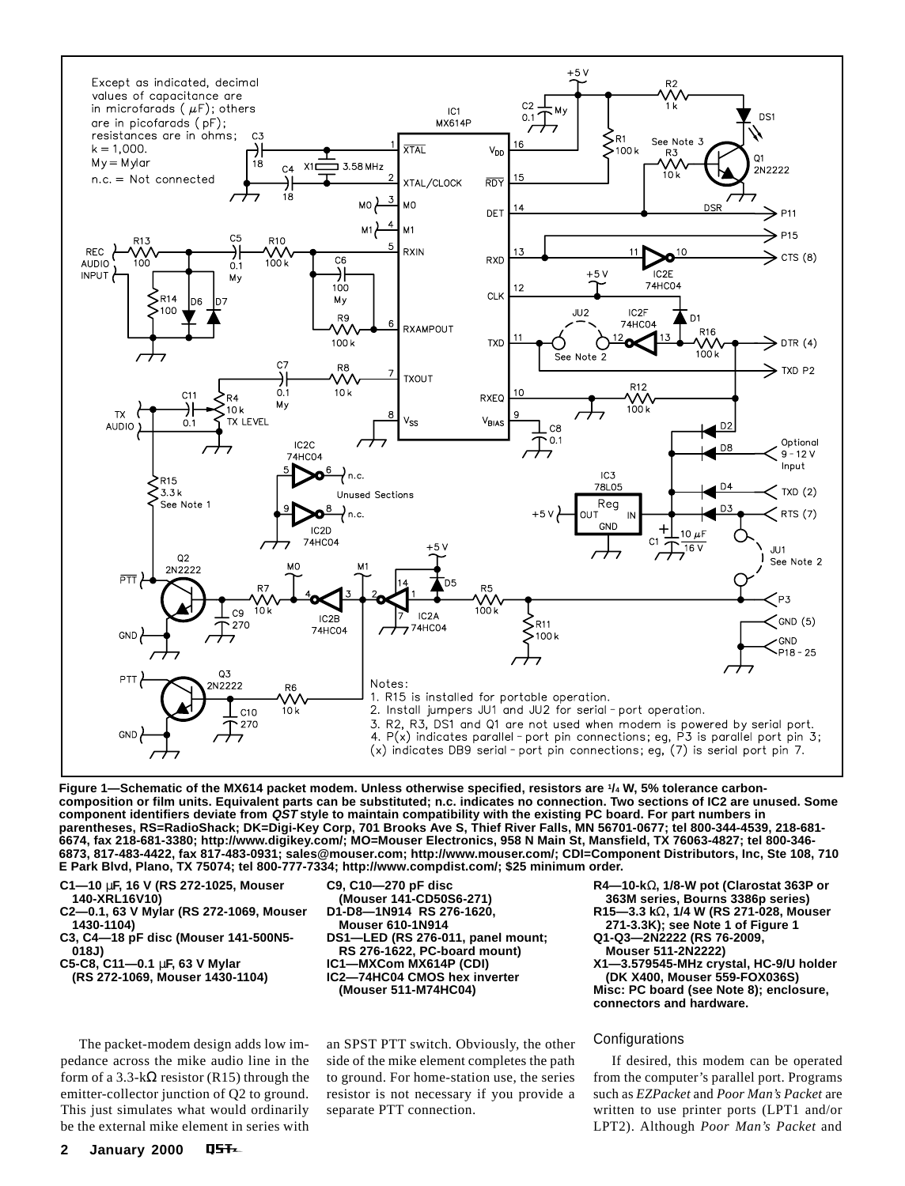

**Figure 1—Schematic of the MX614 packet modem. Unless otherwise specified, resistors are 1/4 W, 5% tolerance carboncomposition or film units. Equivalent parts can be substituted; n.c. indicates no connection. Two sections of IC2 are unused. Some component identifiers deviate from QST style to maintain compatibility with the existing PC board. For part numbers in parentheses, RS=RadioShack; DK=Digi-Key Corp, 701 Brooks Ave S, Thief River Falls, MN 56701-0677; tel 800-344-4539, 218-681- 6674, fax 218-681-3380; http://www.digikey.com/; MO=Mouser Electronics, 958 N Main St, Mansfield, TX 76063-4827; tel 800-346- 6873, 817-483-4422, fax 817-483-0931; sales@mouser.com; http://www.mouser.com/; CDI=Component Distributors, Inc, Ste 108, 710 E Park Blvd, Plano, TX 75074; tel 800-777-7334; http://www.compdist.com/; \$25 minimum order.**

- **C1—10** µ**F, 16 V (RS 272-1025, Mouser**
- **140-XRL16V10)**
- **C2—0.1, 63 V Mylar (RS 272-1069, Mouser 1430-1104)**
- **C3, C4—18 pF disc (Mouser 141-500N5- 018J)**
- **C5-C8, C11—0.1** µ**F, 63 V Mylar**
- **(RS 272-1069, Mouser 1430-1104)**

The packet-modem design adds low impedance across the mike audio line in the form of a 3.3-k $\Omega$  resistor (R15) through the emitter-collector junction of Q2 to ground. This just simulates what would ordinarily be the external mike element in series with **C9, C10—270 pF disc (Mouser 141-CD50S6-271) D1-D8—1N914 RS 276-1620, Mouser 610-1N914 DS1—LED (RS 276-011, panel mount; RS 276-1622, PC-board mount) IC1—MXCom MX614P (CDI) IC2—74HC04 CMOS hex inverter (Mouser 511-M74HC04)**

an SPST PTT switch. Obviously, the other side of the mike element completes the path to ground. For home-station use, the series resistor is not necessary if you provide a separate PTT connection.

**R4—10-k**Ω**, 1/8-W pot (Clarostat 363P or 363M series, Bourns 3386p series)**

- **R15—3.3 k**Ω**, 1/4 W (RS 271-028, Mouser**
- **271-3.3K); see Note 1 of Figure 1 Q1-Q3—2N2222 (RS 76-2009,**
- **Mouser 511-2N2222)**

**X1—3.579545-MHz crystal, HC-9/U holder (DK X400, Mouser 559-FOX036S) Misc: PC board (see Note 8); enclosure, connectors and hardware.**

# Configurations

If desired, this modem can be operated from the computer's parallel port. Programs such as *EZPacket* and *Poor Man's Packet* are written to use printer ports (LPT1 and/or LPT2). Although *Poor Man's Packet* and